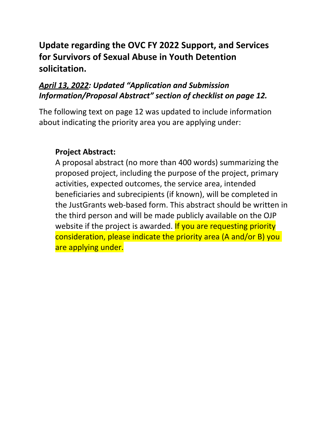# **for Survivors of Sexual Abuse in Youth Detention Update regarding the OVC FY 2022 Support, and Services solicitation.**

# *Information/Proposal Abstract" section of checklist on page 12. April 13, 2022: Updated "Application and Submission*

 The following text on page 12 was updated to include information about indicating the priority area you are applying under:

# **Project Abstract:**

 A proposal abstract (no more than 400 words) summarizing the proposed project, including the purpose of the project, primary activities, expected outcomes, the service area, intended beneficiaries and subrecipients (if known), will be completed in the JustGrants web-based form. This abstract should be written in the third person and will be made publicly available on the OJP website if the project is awarded. If you are requesting priority consideration, please indicate the priority area (A and/or B) you are applying under.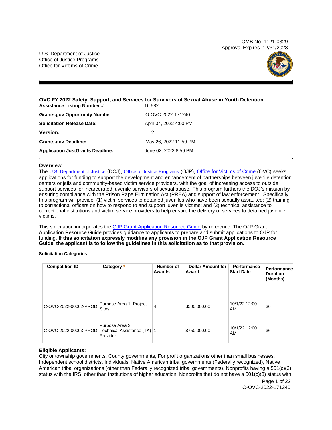OMB No. 1121-0329 Approval Expires 12/31/2023

U.S. Department of Justice Office of Justice Programs Office for Victims of Crime



### **OVC FY 2022 Safety, Support, and Services for Survivors of Sexual Abuse in Youth Detention**  Assistance Listing Number # 16.582

| <b>Grants.gov Opportunity Number:</b>   | O-OVC-2022-171240      |
|-----------------------------------------|------------------------|
| <b>Solicitation Release Date:</b>       | April 04, 2022 4:00 PM |
| <b>Version:</b>                         | 2                      |
| <b>Grants.gov Deadline:</b>             | May 26, 2022 11:59 PM  |
| <b>Application JustGrants Deadline:</b> | June 02, 2022 8:59 PM  |

# **Overview**

The [U.S. Department of Justice](https://www.usdoj.gov/) (DOJ), [Office of Justice Programs](https://www.ojp.usdoj.gov/) (OJP), [Office for Victims of Crime](http://www.ovc.ojp.gov/) (OVC) seeks applications for funding to support the development and enhancement of partnerships between juvenile detention centers or jails and community-based victim service providers, with the goal of increasing access to outside support services for incarcerated juvenile survivors of sexual abuse. This program furthers the DOJ's mission by ensuring compliance with the Prison Rape Elimination Act (PREA) and support of law enforcement. Specifically, this program will provide: (1) victim services to detained juveniles who have been sexually assaulted; (2) training to correctional officers on how to respond to and support juvenile victims; and (3) technical assistance to correctional institutions and victim service providers to help ensure the delivery of services to detained juvenile victims.

This solicitation incorporates the [OJP Grant Application Resource Guide](https://www.ojp.gov/funding/Apply/Resources/Grant-App-Resource-Guide.htm) by reference. The OJP Grant Application Resource Guide provides guidance to applicants to prepare and submit applications to OJP for funding. **If this solicitation expressly modifies any provision in the OJP Grant Application Resource Guide, the applicant is to follow the guidelines in this solicitation as to that provision.** 

# **Solicitation Categories**

| <b>Competition ID</b> | Category *                                                 | Number of<br>Awards | <b>Dollar Amount for</b><br>Award | Performance<br><b>Start Date</b> | Performance<br><b>Duration</b><br>(Months) |
|-----------------------|------------------------------------------------------------|---------------------|-----------------------------------|----------------------------------|--------------------------------------------|
| C-OVC-2022-00002-PROD | Purpose Area 1: Project<br><b>Sites</b>                    | 4                   | \$500,000.00                      | 10/1/22 12:00<br>AM              | 36                                         |
| C-OVC-2022-00003-PROD | Purpose Area 2:<br>Technical Assistance (TA) 1<br>Provider |                     | \$750,000.00                      | 10/1/22 12:00<br>AM              | 36                                         |

# **Eligible Applicants:**

City or township governments, County governments, For profit organizations other than small businesses, Independent school districts, Individuals, Native American tribal governments (Federally recognized), Native American tribal organizations (other than Federally recognized tribal governments), Nonprofits having a 501(c)(3) status with the IRS, other than institutions of higher education, Nonprofits that do not have a 501(c)(3) status with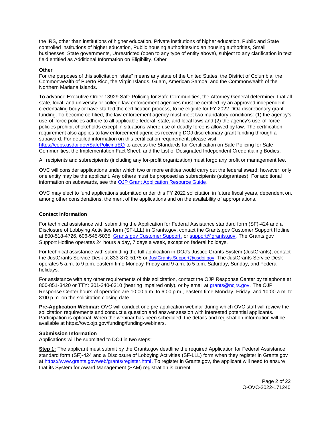<span id="page-2-0"></span>the IRS, other than institutions of higher education, Private institutions of higher education, Public and State controlled institutions of higher education, Public housing authorities/Indian housing authorities, Small businesses, State governments, Unrestricted (open to any type of entity above), subject to any clarification in text field entitled as Additional Information on Eligibility, Other

# **Other**

For the purposes of this solicitation "state" means any state of the United States, the District of Columbia, the Commonwealth of Puerto Rico, the Virgin Islands, Guam, American Samoa, and the Commonwealth of the Northern Mariana Islands.

To advance Executive Order 13929 Safe Policing for Safe Communities, the Attorney General determined that all state, local, and university or college law enforcement agencies must be certified by an approved independent credentialing body or have started the certification process, to be eligible for FY 2022 DOJ discretionary grant funding. To become certified, the law enforcement agency must meet two mandatory conditions: (1) the agency's use-of-force policies adhere to all applicable federal, state, and local laws and (2) the agency's use-of-force policies prohibit chokeholds except in situations where use of deadly force is allowed by law. The certification requirement also applies to law enforcement agencies receiving DOJ discretionary grant funding through a subaward. For detailed information on this certification requirement, please visit

[https://cops.usdoj.gov/SafePolicingEO](https://cops.usdoj.gov/SafePolicingEO%20) to access the Standards for Certification on Safe Policing for Safe Communities, the Implementation Fact Sheet, and the List of Designated Independent Credentialing Bodies.

All recipients and subrecipients (including any for-profit organization) must forgo any profit or management fee.

OVC will consider applications under which two or more entities would carry out the federal award; however, only one entity may be the applicant. Any others must be proposed as subrecipients (subgrantees). For additional information on subawards, see the [OJP Grant Application Resource Guide.](https://www.ojp.gov/funding/Apply/Resources/Grant-App-Resource-Guide.htm)

OVC may elect to fund applications submitted under this FY 2022 solicitation in future fiscal years, dependent on, among other considerations, the merit of the applications and on the availability of appropriations.

### **Contact Information**

For technical assistance with submitting the Application for Federal Assistance standard form (SF)-424 and a Disclosure of Lobbying Activities form (SF-LLL) in [Grants.gov](https://Grants.gov), contact the [Grants.gov](https://Grants.gov) Customer Support Hotline at 800-518-4726, 606-545-5035, [Grants.gov Customer Support,](https://www.grants.gov/web/grants/support.html) or [support@grants.gov.](mailto:support@grants.gov) The [Grants.gov](https://Grants.gov) Support Hotline operates 24 hours a day, 7 days a week, except on federal holidays.

For technical assistance with submitting the full application in DOJ's Justice Grants System (JustGrants), contact the JustGrants Service Desk at 833-872-5175 or [JustGrants.Support@usdoj.gov.](mailto:JustGrants.Support@usdoj.gov) The JustGrants Service Desk operates 5 a.m. to 9 p.m. eastern time Monday-Friday and 9 a.m. to 5 p.m. Saturday, Sunday, and Federal holidays.

For assistance with any other requirements of this solicitation, contact the OJP Response Center by telephone at 800-851-3420 or TTY: 301-240-6310 (hearing impaired only), or by email at [grants@ncjrs.gov.](mailto:grants@ncjrs.gov) The OJP Response Center hours of operation are 10:00 a.m. to 6:00 p.m., eastern time Monday–Friday, and 10:00 a.m. to 8:00 p.m. on the solicitation closing date.

**Pre-Application Webinar:** OVC will conduct one pre-application webinar during which OVC staff will review the solicitation requirements and conduct a question and answer session with interested potential applicants. Participation is optional. When the webinar has been scheduled, the details and registration information will be available at [https://ovc.ojp.gov/funding/funding-webinars.](https://ovc.ojp.gov/funding/funding-webinars)

#### **Submission Information**

Applications will be submitted to DOJ in two steps:

**Step 1:** The applicant must submit by the [Grants.gov](https://Grants.gov) deadline the required Application for Federal Assistance standard form (SF)-424 and a Disclosure of Lobbying Activities (SF-LLL) form when they register in [Grants.gov](https://Grants.gov) at [https://www.grants.gov/web/grants/register.html.](https://www.grants.gov/web/grants/register.html) To register in [Grants.gov](https://Grants.gov), the applicant will need to ensure that its System for Award Management (SAM) registration is current.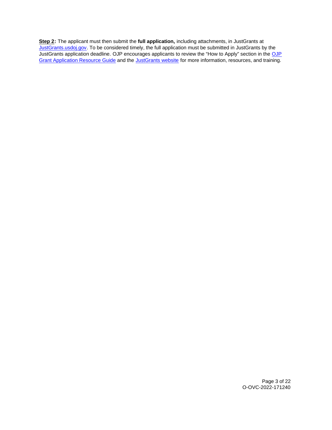**Step 2:** The applicant must then submit the **full application,** including attachments, in JustGrants at [JustGrants.usdoj.gov.](https://justicegrants.usdoj.gov/) To be considered timely, the full application must be submitted in JustGrants by the JustGrants application deadline. [OJP](https://www.ojp.gov/funding/apply/ojp-grant-application-resource-guide#apply) encourages applicants to review the "How to Apply" section in the OJP [Grant Application Resource Guide](https://www.ojp.gov/funding/apply/ojp-grant-application-resource-guide#apply) and the [JustGrants website](https://justicegrants.usdoj.gov/news) for more information, resources, and training.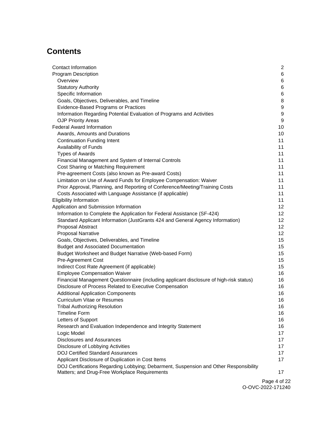# **Contents**

| Contact Information                                                                     | 2                |
|-----------------------------------------------------------------------------------------|------------------|
| <b>Program Description</b>                                                              | 6                |
| Overview                                                                                | 6                |
| <b>Statutory Authority</b>                                                              | 6                |
| Specific Information                                                                    | 6                |
| Goals, Objectives, Deliverables, and Timeline                                           | 8                |
| Evidence-Based Programs or Practices                                                    | 9                |
| Information Regarding Potential Evaluation of Programs and Activities                   | $\boldsymbol{9}$ |
| <b>OJP Priority Areas</b>                                                               | 9                |
| <b>Federal Award Information</b>                                                        | 10               |
| Awards, Amounts and Durations                                                           | 10               |
| <b>Continuation Funding Intent</b>                                                      | 11               |
| Availability of Funds                                                                   | 11               |
| <b>Types of Awards</b>                                                                  | 11               |
| Financial Management and System of Internal Controls                                    | 11               |
| Cost Sharing or Matching Requirement                                                    | 11               |
| Pre-agreement Costs (also known as Pre-award Costs)                                     | 11               |
| Limitation on Use of Award Funds for Employee Compensation: Waiver                      | 11               |
| Prior Approval, Planning, and Reporting of Conference/Meeting/Training Costs            | 11               |
| Costs Associated with Language Assistance (if applicable)                               | 11               |
| <b>Eligibility Information</b>                                                          | 11               |
| Application and Submission Information                                                  | 12               |
| Information to Complete the Application for Federal Assistance (SF-424)                 | 12 <sub>2</sub>  |
| Standard Applicant Information (JustGrants 424 and General Agency Information)          | 12               |
| Proposal Abstract                                                                       | 12 <sup>2</sup>  |
| <b>Proposal Narrative</b>                                                               | 12 <sub>2</sub>  |
| Goals, Objectives, Deliverables, and Timeline                                           | 15               |
| <b>Budget and Associated Documentation</b>                                              | 15               |
| Budget Worksheet and Budget Narrative (Web-based Form)                                  | 15               |
| Pre-Agreement Cost                                                                      | 15               |
| Indirect Cost Rate Agreement (if applicable)                                            | 15 <sub>2</sub>  |
| <b>Employee Compensation Waiver</b>                                                     | 16               |
| Financial Management Questionnaire (including applicant disclosure of high-risk status) | 16               |
| Disclosure of Process Related to Executive Compensation                                 | 16               |
| <b>Additional Application Components</b>                                                | 16               |
| <b>Curriculum Vitae or Resumes</b>                                                      | 16               |
| <b>Tribal Authorizing Resolution</b>                                                    | 16               |
| <b>Timeline Form</b>                                                                    | 16               |
| Letters of Support                                                                      | 16               |
| Research and Evaluation Independence and Integrity Statement                            | 16               |
| Logic Model                                                                             | 17               |
| <b>Disclosures and Assurances</b>                                                       | 17               |
| Disclosure of Lobbying Activities                                                       | 17               |
| <b>DOJ Certified Standard Assurances</b>                                                | 17               |
| Applicant Disclosure of Duplication in Cost Items                                       | 17               |
| DOJ Certifications Regarding Lobbying; Debarment, Suspension and Other Responsibility   |                  |
| Matters; and Drug-Free Workplace Requirements                                           | 17               |

Page 4 of 22 O-OVC-2022-171240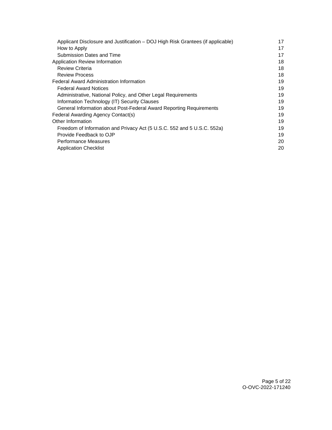| Applicant Disclosure and Justification - DOJ High Risk Grantees (if applicable) |    |
|---------------------------------------------------------------------------------|----|
| How to Apply                                                                    | 17 |
| Submission Dates and Time                                                       | 17 |
| Application Review Information                                                  | 18 |
| <b>Review Criteria</b>                                                          | 18 |
| <b>Review Process</b>                                                           | 18 |
| <b>Federal Award Administration Information</b>                                 | 19 |
| <b>Federal Award Notices</b>                                                    | 19 |
| Administrative, National Policy, and Other Legal Requirements                   | 19 |
| Information Technology (IT) Security Clauses                                    | 19 |
| General Information about Post-Federal Award Reporting Requirements             | 19 |
| Federal Awarding Agency Contact(s)                                              | 19 |
| Other Information                                                               | 19 |
| Freedom of Information and Privacy Act (5 U.S.C. 552 and 5 U.S.C. 552a)         | 19 |
| Provide Feedback to OJP                                                         | 19 |
| <b>Performance Measures</b>                                                     | 20 |
| <b>Application Checklist</b>                                                    | 20 |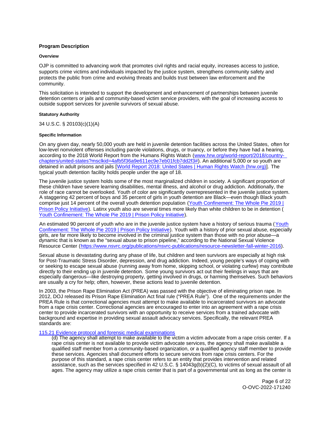# <span id="page-6-0"></span>**Program Description**

#### **Overview**

OJP is committed to advancing work that promotes civil rights and racial equity, increases access to justice, supports crime victims and individuals impacted by the justice system, strengthens community safety and protects the public from crime and evolving threats and builds trust between law enforcement and the community.

This solicitation is intended to support the development and enhancement of partnerships between juvenile detention centers or jails and community-based victim service providers, with the goal of increasing access to outside support services for juvenile survivors of sexual abuse.

### **Statutory Authority**

34 U.S.C. § 20103(c)(1)(A)

#### **Specific Information**

On any given day, nearly 50,000 youth are held in juvenile detention facilities across the United States, often for low-level nonviolent offenses including parole violations, drugs, or truancy, or before they have had a hearing, according to the 2018 World Report from the Humans Rights Watch ([www.hrw.org/world-report/2018/country](https://www.hrw.org/world-report/2018/country-chapters/united-states?msclkid=4afb5f36a9e611ec9e7eb01fcb7dd2f3)[chapters/united-states?msclkid=4afb5f36a9e611ec9e7eb01fcb7dd2f3#\)](https://www.hrw.org/world-report/2018/country-chapters/united-states?msclkid=4afb5f36a9e611ec9e7eb01fcb7dd2f3). An additional 5,000 or so youth are detained in adult prisons and jails [[World Report 2018: United States | Human Rights Watch \(hrw.org\)\]](https://www.hrw.org/world-report/2018/country-chapters/united-states?msclkid=4afb5f36a9e611ec9e7eb01fcb7dd2f3). The typical youth detention facility holds people under the age of 18.

The juvenile justice system holds some of the most marginalized children in society. A significant proportion of these children have severe learning disabilities, mental illness, and alcohol or drug addiction. Additionally, the role of race cannot be overlooked. Youth of color are significantly overrepresented in the juvenile justice system. A staggering 42 percent of boys and 35 percent of girls in youth detention are Black—even though Black youth comprise just 14 percent of the overall youth detention population ([Youth Confinement: The Whole Pie 2019 |](https://www.prisonpolicy.org/reports/youth2019.html?msclkid=fdd89ad5aa0711ecaacbb87842945bfc)  [Prison Policy Initiative\)](https://www.prisonpolicy.org/reports/youth2019.html?msclkid=fdd89ad5aa0711ecaacbb87842945bfc). Latinx youth also are several times more likely than white children to be in detention ( [Youth Confinement: The Whole Pie 2019 | Prison Policy Initiative\)](https://www.prisonpolicy.org/reports/youth2019.html?msclkid=fdd89ad5aa0711ecaacbb87842945bfc).

An estimated 90 percent of youth who are in the juvenile justice system have a history of serious trauma ([Youth](https://www.prisonpolicy.org/reports/youth2019.html?msclkid=fdd89ad5aa0711ecaacbb87842945bfc)  [Confinement: The Whole Pie 2019 | Prison Policy Initiative\)](https://www.prisonpolicy.org/reports/youth2019.html?msclkid=fdd89ad5aa0711ecaacbb87842945bfc). Youth with a history of prior sexual abuse, especially girls, are far more likely to become involved in the criminal justice system than those with no prior abuse—a dynamic that is known as the "sexual abuse to prison pipeline," according to the National Sexual Violence Resource Center ([https://www.nsvrc.org/publications/nsvrc-publications/resource-newsletter-fall-winter-2016\)](https://www.nsvrc.org/publications/nsvrc-publications/resource-newsletter-fall-winter-2016).

Sexual abuse is devastating during any phase of life, but children and teen survivors are especially at high risk for Post-Traumatic Stress Disorder, depression, and drug addiction. Indeed, young people's ways of coping with or seeking to escape sexual abuse (running away from home, skipping school, or violating curfew) may contribute directly to their ending up in juvenile detention. Some young survivors act out their feelings in ways that are especially dangerous—like destroying property, getting involved in drugs, or harming themselves. Such behaviors are usually a cry for help; often, however, these actions lead to juvenile detention.

In 2003, the Prison Rape Elimination Act (PREA) was passed with the objective of eliminating prison rape. In 2012, DOJ released its Prison Rape Elimination Act final rule ("PREA Rule"). One of the requirements under the PREA Rule is that correctional agencies must attempt to make available to incarcerated survivors an advocate from a rape crisis center. Correctional agencies are encouraged to enter into an agreement with a rape crisis center to provide incarcerated survivors with an opportunity to receive services from a trained advocate with background and expertise in providing sexual assault advocacy services. Specifically, the relevant PREA standards are:

#### [115.21 Evidence protocol and forensic medical examinations](https://www.prearesourcecenter.org/standard/115-21)

(d) The agency shall attempt to make available to the victim a victim advocate from a rape crisis center. If a rape crisis center is not available to provide victim advocate services, the agency shall make available a qualified staff member from a community-based organization, or a qualified agency staff member to provide these services. Agencies shall document efforts to secure services from rape crisis centers. For the purpose of this standard, a rape crisis center refers to an entity that provides intervention and related assistance, such as the services specified in 42 U.S.C. § 14043g(b)(2)(C), to victims of sexual assault of all ages. The agency may utilize a rape crisis center that is part of a governmental unit as long as the center is

> Page 6 of 22 O-OVC-2022-171240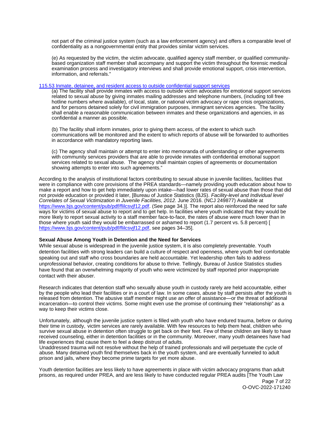not part of the criminal justice system (such as a law enforcement agency) and offers a comparable level of confidentiality as a nongovernmental entity that provides similar victim services.

(e) As requested by the victim, the victim advocate, qualified agency staff member, or qualified communitybased organization staff member shall accompany and support the victim throughout the forensic medical examination process and investigatory interviews and shall provide emotional support, crisis intervention, information, and referrals."

#### [115.53 Inmate, detainee, and resident access to outside confidential support services](https://www.prearesourcecenter.org/standard/115-53)

(a) The facility shall provide inmates with access to outside victim advocates for emotional support services related to sexual abuse by giving inmates mailing addresses and telephone numbers, (including toll free hotline numbers where available), of local, state, or national victim advocacy or rape crisis organizations, and for persons detained solely for civil immigration purposes, immigrant services agencies. The facility shall enable a reasonable communication between inmates and these organizations and agencies, in as confidential a manner as possible.

(b) The facility shall inform inmates, prior to giving them access, of the extent to which such communications will be monitored and the extent to which reports of abuse will be forwarded to authorities in accordance with mandatory reporting laws.

(c) The agency shall maintain or attempt to enter into memoranda of understanding or other agreements with community services providers that are able to provide inmates with confidential emotional support services related to sexual abuse. The agency shall maintain copies of agreements or documentation showing attempts to enter into such agreements."

According to the analysis of institutional factors contributing to sexual abuse in juvenile facilities, facilities that were in compliance with core provisions of the PREA standards—namely providing youth education about how to make a report and how to get help immediately upon intake—had lower rates of sexual abuse than those that did not provide education or provided it later, [Bureau of Justice Statistics (BJS). Facility-level and Individual level Correlates of Sexual Victimization in Juvenile Facilities, 2012. June 2016. (NCJ 249877) Available at [https://www.bjs.gov/content/pub/pdf/flilcsvjf12.pdf.](https://www.bjs.gov/content/pub/pdf/flilcsvjf12.pdf) (See page 34.)]. The report also reinforced the need for safe ways for victims of sexual abuse to report and to get help. In facilities where youth indicated that they would be more likely to report sexual activity to a staff member face-to-face, the rates of abuse were much lower than in those where youth said they would be embarrassed or ashamed to report (1.7 percent vs. 5.8 percent) [ [https://www.bjs.gov/content/pub/pdf/flilcsvjf12.pdf,](https://www.bjs.gov/content/pub/pdf/flilcsvjf12.pdf) see pages 34-35].

# **Sexual Abuse Among Youth in Detention and the Need for Services**

While sexual abuse is widespread in the juvenile justice system, it is also completely preventable. Youth detention facilities with strong leaders can build a culture of respect and openness, where youth feel comfortable speaking out and staff who cross boundaries are held accountable. Yet leadership often fails to address unprofessional behavior, creating conditions for abuse to thrive. Tellingly, Bureau of Justice Statistics studies have found that an overwhelming majority of youth who were victimized by staff reported prior inappropriate contact with their abuser.

Research indicates that detention staff who sexually abuse youth in custody rarely are held accountable, either by the people who lead their facilities or in a court of law. In some cases, abuse by staff persists after the youth is released from detention. The abusive staff member might use an offer of assistance—or the threat of additional incarceration—to control their victims. Some might even use the promise of continuing their "relationship" as a way to keep their victims close.

Unfortunately, although the juvenile justice system is filled with youth who have endured trauma, before or during their time in custody, victim services are rarely available. With few resources to help them heal, children who survive sexual abuse in detention often struggle to get back on their feet. Few of these children are likely to have received counseling, either in detention facilities or in the community. Moreover, many youth detainees have had life experiences that cause them to feel a deep distrust of adults.

Unaddressed trauma will not resolve without the help of trained professionals and will perpetuate the cycle of abuse. Many detained youth find themselves back in the youth system, and are eventually funneled to adult prison and jails, where they become prime targets for yet more abuse.

Youth detention facilities are less likely to have agreements in place with victim advocacy programs than adult prisons, as required under PREA, and are less likely to have conducted regular PREA audits [The Youth Law

Page 7 of 22 O-OVC-2022-171240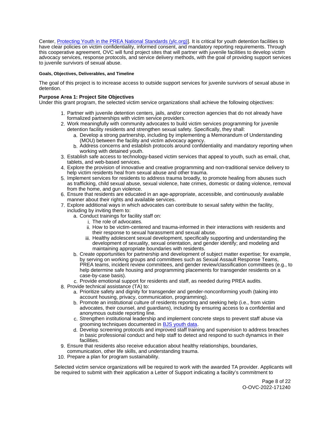<span id="page-8-0"></span>Center, [Protecting Youth in the PREA National Standards \(ylc.org\)\]](https://www.ylc.org/wp-content/uploads/2018/11/PREA_Youth_Comments_0.pdf). It is critical for youth detention facilities to have clear policies on victim confidentiality, informed consent, and mandatory reporting requirements. Through this cooperative agreement, OVC will fund project sites that will partner with juvenile facilities to develop victim advocacy services, response protocols, and service delivery methods, with the goal of providing support services to juvenile survivors of sexual abuse.

# **Goals, Objectives, Deliverables, and Timeline**

The goal of this project is to increase access to outside support services for juvenile survivors of sexual abuse in detention.

# **Purpose Area 1: Project Site Objectives**

Under this grant program, the selected victim service organizations shall achieve the following objectives:

- 1. Partner with juvenile detention centers, jails, and/or correction agencies that do not already have formalized partnerships with victim service providers.
- 2. Work meaningfully with community advocates to build victim services programming for juvenile detention facility residents and strengthen sexual safety. Specifically, they shall:
	- a. Develop a strong partnership, including by implementing a Memorandum of Understanding (MOU) between the facility and victim advocacy agency.
	- b. Address concerns and establish protocols around confidentiality and mandatory reporting when working with detained youth.
- 3. Establish safe access to technology-based victim services that appeal to youth, such as email, chat, tablets, and web-based services.
- 4. Explore the provision of innovative and creative programming and non-traditional service delivery to help victim residents heal from sexual abuse and other trauma.
- 5. Implement services for residents to address trauma broadly, to promote healing from abuses such as trafficking, child sexual abuse, sexual violence, hate crimes, domestic or dating violence, removal from the home, and gun violence.
- 6. Ensure that residents are educated in an age-appropriate, accessible, and continuously available manner about their rights and available services.
- 7. Explore additional ways in which advocates can contribute to sexual safety within the facility, including by inviting them to:
	- a. Conduct trainings for facility staff on:
		- i. The role of advocates.
		- ii. How to be victim-centered and trauma-informed in their interactions with residents and their response to sexual harassment and sexual abuse.
		- iii. Healthy adolescent sexual development, specifically supporting and understanding the development of sexuality, sexual orientation, and gender identify; and modeling and maintaining appropriate boundaries with residents.
	- b. Create opportunities for partnership and development of subject matter expertise; for example, by serving on working groups and committees such as Sexual Assault Response Teams, PREA teams, incident review committees, and gender review/classification committees (e.g., to help determine safe housing and programming placements for transgender residents on a case-by-case basis).
	- c. Provide emotional support for residents and staff, as needed during PREA audits.
- 8. Provide technical assistance (TA) to:
	- a. Prioritize safety and dignity for transgender and gender-nonconforming youth (taking into account housing, privacy, communication, programming).
	- b. Promote an institutional culture of residents reporting and seeking help (i.e., from victim advocates, their counsel, and guardians), including by ensuring access to a confidential and anonymous outside reporting line.
	- c. Strengthen institutional leadership and implement concrete steps to prevent staff abuse via grooming techniques documented in **BJS** youth data.
	- d. Develop screening protocols and improved staff training and supervision to address breaches in basic professional conduct and help staff to detect and respond to such dynamics in their facilities.
- 9. Ensure that residents also receive education about healthy relationships, boundaries,
- communication, other life skills, and understanding trauma.
- 10. Prepare a plan for program sustainability.

Selected victim service organizations will be required to work with the awarded TA provider. Applicants will be required to submit with their application a Letter of Support indicating a facility's commitment to

> Page 8 of 22 O-OVC-2022-171240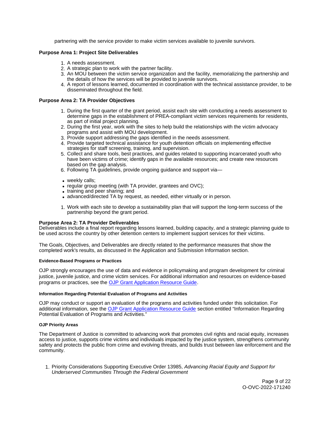partnering with the service provider to make victim services available to juvenile survivors.

# <span id="page-9-0"></span>**Purpose Area 1: Project Site Deliverables**

- 1. A needs assessment.
- 2. A strategic plan to work with the partner facility.
- 3. An MOU between the victim service organization and the facility, memorializing the partnership and the details of how the services will be provided to juvenile survivors.
- 4. A report of lessons learned, documented in coordination with the technical assistance provider, to be disseminated throughout the field.

# **Purpose Area 2: TA Provider Objectives**

- 1. During the first quarter of the grant period, assist each site with conducting a needs assessment to determine gaps in the establishment of PREA-compliant victim services requirements for residents, as part of initial project planning.
- 2. During the first year, work with the sites to help build the relationships with the victim advocacy programs and assist with MOU development.
- 3. Provide support addressing the gaps identified in the needs assessment.
- 4. Provide targeted technical assistance for youth detention officials on implementing effective strategies for staff screening, training, and supervision.
- 5. Collect and share tools, best practices, and guides related to supporting incarcerated youth who have been victims of crime; identify gaps in the available resources; and create new resources based on the gap analysis.
- 6. Following TA guidelines, provide ongoing guidance and support via—
- weekly calls;
- regular group meeting (with TA provider, grantees and OVC);
- training and peer sharing; and
- advanced/directed TA by request, as needed, either virtually or in person.
- 1. Work with each site to develop a sustainability plan that will support the long-term success of the partnership beyond the grant period.

#### **Purpose Area 2: TA Provider Deliverables**

Deliverables include a final report regarding lessons learned, building capacity, and a strategic planning guide to be used across the country by other detention centers to implement support services for their victims.

The Goals, Objectives, and Deliverables are directly related to the performance measures that show the completed work's results, as discussed in the Application and Submission Information section.

#### **Evidence-Based Programs or Practices**

OJP strongly encourages the use of data and evidence in policymaking and program development for criminal justice, juvenile justice, and crime victim services. For additional information and resources on evidence-based programs or practices, see the [OJP Grant Application Resource Guide.](https://www.ojp.gov/funding/apply/ojp-grant-application-resource-guide#evidence-based)

#### **Information Regarding Potential Evaluation of Programs and Activities**

OJP may conduct or support an evaluation of the programs and activities funded under this solicitation. For additional information, see the [OJP Grant Application Resource Guide](https://www.ojp.gov/funding/apply/ojp-grant-application-resource-guide#potential-evaluation) section entitled "Information Regarding Potential Evaluation of Programs and Activities."

#### **OJP Priority Areas**

The Department of Justice is committed to advancing work that promotes civil rights and racial equity, increases access to justice, supports crime victims and individuals impacted by the justice system, strengthens community safety and protects the public from crime and evolving threats, and builds trust between law enforcement and the community.

1. Priority Considerations Supporting Executive Order 13985, Advancing Racial Equity and Support for Underserved Communities Through the Federal Government

> Page 9 of 22 O-OVC-2022-171240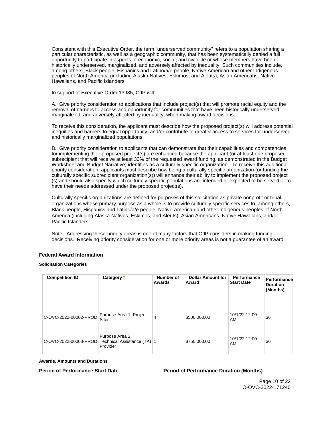<span id="page-10-0"></span>Consistent with this Executive Order, the term "underserved community" refers to a population sharing a particular characteristic, as well as a geographic community, that has been systematically denied a full opportunity to participate in aspects of economic, social, and civic life or whose members have been historically underserved, marginalized, and adversely affected by inequality. Such communities include, among others, Black people, Hispanics and Latino/a/e people, Native American and other Indigenous peoples of North America (including Alaska Natives, Eskimos, and Aleuts), Asian Americans, Native Hawaiians, and Pacific Islanders.

In support of Executive Order 13985, OJP will:

A. Give priority consideration to applications that include project(s) that will promote racial equity and the removal of barriers to access and opportunity for communities that have been historically underserved, marginalized, and adversely affected by inequality, when making award decisions.

To receive this consideration, the applicant must describe how the proposed project(s) will address potential inequities and barriers to equal opportunity, and/or contribute to greater access to services for underserved and historically marginalized populations.

B. Give priority consideration to applicants that can demonstrate that their capabilities and competencies for implementing their proposed project(s) are enhanced because the applicant (or at least one proposed subrecipient that will receive at least 30% of the requested award funding, as demonstrated in the Budget Worksheet and Budget Narrative) identifies as a culturally specific organization. To receive this additional priority consideration, applicants must describe how being a culturally specific organization (or funding the culturally specific subrecipient organization(s)) will enhance their ability to implement the proposed project (s) and should also specify which culturally specific populations are intended or expected to be served or to have their needs addressed under the proposed project(s).

Culturally specific organizations are defined for purposes of this solicitation as private nonprofit or tribal organizations whose primary purpose as a whole is to provide culturally specific services to, among others, Black people, Hispanics and Latino/a/e people, Native American and other Indigenous peoples of North America (including Alaska Natives, Eskimos, and Aleuts), Asian Americans, Native Hawaiians, and/or Pacific Islanders.

Note: Addressing these priority areas is one of many factors that OJP considers in making funding decisions. Receiving priority consideration for one or more priority areas is not a guarantee of an award.

# **Federal Award Information**

#### **Solicitation Categories**

| <b>Competition ID</b> | Category *                                                 | Number of<br>Awards | <b>Dollar Amount for</b><br>Award | Performance<br><b>Start Date</b> | Performance<br><b>Duration</b><br>(Months) |
|-----------------------|------------------------------------------------------------|---------------------|-----------------------------------|----------------------------------|--------------------------------------------|
| C-OVC-2022-00002-PROD | Purpose Area 1: Project<br><b>Sites</b>                    | 4                   | \$500,000.00                      | 10/1/22 12:00<br>AM              | 36                                         |
| C-OVC-2022-00003-PROD | Purpose Area 2:<br>Technical Assistance (TA) 1<br>Provider |                     | \$750,000.00                      | 10/1/22 12:00<br>AM              | 36                                         |

**Awards, Amounts and Durations** 

**Period of Performance Start Date**  Period of Performance Duration (Months)

Page 10 of 22 O-OVC-2022-171240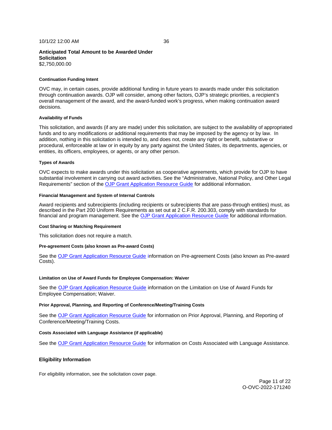#### <span id="page-11-0"></span>**Continuation Funding Intent**

OVC may, in certain cases, provide additional funding in future years to awards made under this solicitation through continuation awards. OJP will consider, among other factors, OJP's strategic priorities, a recipient's overall management of the award, and the award-funded work's progress, when making continuation award decisions.

#### **Availability of Funds**

This solicitation, and awards (if any are made) under this solicitation, are subject to the availability of appropriated funds and to any modifications or additional requirements that may be imposed by the agency or by law. In addition, nothing in this solicitation is intended to, and does not, create any right or benefit, substantive or procedural, enforceable at law or in equity by any party against the United States, its departments, agencies, or entities, its officers, employees, or agents, or any other person.

#### **Types of Awards**

OVC expects to make awards under this solicitation as cooperative agreements, which provide for OJP to have substantial involvement in carrying out award activities. See the "Administrative, National Policy, and Other Legal Requirements" section of the [OJP Grant Application Resource Guide](https://www.ojp.gov/funding/apply/ojp-grant-application-resource-guide#administrative) for additional information.

#### **Financial Management and System of Internal Controls**

Award recipients and subrecipients (including recipients or subrecipients that are pass-through entities) must, as described in the Part 200 Uniform Requirements as set out at 2 C.F.R. 200.303, comply with standards for financial and program management. See the [OJP Grant Application Resource Guide](https://www.ojp.gov/funding/apply/ojp-grant-application-resource-guide#fm-internal-controls) for additional information.

#### **Cost Sharing or Matching Requirement**

This solicitation does not require a match.

#### **Pre-agreement Costs (also known as Pre-award Costs)**

See the [OJP Grant Application Resource Guide](https://www.ojp.gov/funding/apply/ojp-grant-application-resource-guide#pre-agreement-costs) information on Pre-agreement Costs (also known as Pre-award Costs).

#### **Limitation on Use of Award Funds for Employee Compensation: Waiver**

See the [OJP Grant Application Resource Guide](https://www.ojp.gov/funding/apply/ojp-grant-application-resource-guide#limitation-use-award) information on the Limitation on Use of Award Funds for Employee Compensation; Waiver.

#### **Prior Approval, Planning, and Reporting of Conference/Meeting/Training Costs**

See the [OJP Grant Application Resource Guide](https://www.ojp.gov/funding/apply/ojp-grant-application-resource-guide#prior-approval) for information on Prior Approval, Planning, and Reporting of Conference/Meeting/Training Costs.

#### **Costs Associated with Language Assistance (if applicable)**

See the [OJP Grant Application Resource Guide](https://www.ojp.gov/funding/apply/ojp-grant-application-resource-guide#costs-associated) for information on Costs Associated with Language Assistance.

#### **Eligibility Information**

For eligibility information, see the solicitation cover page.

Page 11 of 22 O-OVC-2022-171240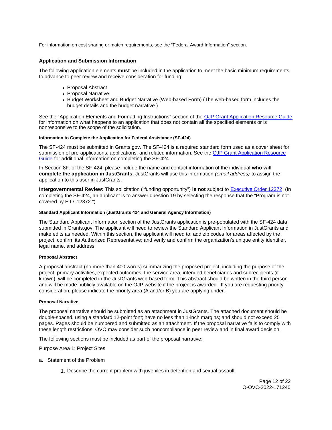<span id="page-12-0"></span>For information on cost sharing or match requirements, see the "Federal Award Information" section.

# **Application and Submission Information**

The following application elements **must** be included in the application to meet the basic minimum requirements to advance to peer review and receive consideration for funding:

- Proposal Abstract
- Proposal Narrative
- Budget Worksheet and Budget Narrative (Web-based Form) (The web-based form includes the budget details and the budget narrative.)

See the "Application Elements and Formatting Instructions" section of the OJP Grant Application Resource Guide for information on what happens to an application that does not contain all the specified elements or is nonresponsive to the scope of the solicitation.

#### **Information to Complete the Application for Federal Assistance (SF-424)**

The SF-424 must be submitted in [Grants.gov](https://Grants.gov). The SF-424 is a required standard form used as a cover sheet for submission of pre-applications, applications, and related information. See the [OJP Grant Application Resource](https://www.ojp.gov/funding/apply/ojp-grant-application-resource-guide#complete-application)  [Guide](https://www.ojp.gov/funding/apply/ojp-grant-application-resource-guide#complete-application) for additional information on completing the SF-424.

In Section 8F. of the SF-424, please include the name and contact information of the individual **who will complete the application in JustGrants**. JustGrants will use this information (email address) to assign the application to this user in JustGrants.

**Intergovernmental Review:** This solicitation ("funding opportunity") **is not** subject to [Executive Order 12372.](https://www.archives.gov/federal-register/codification/executive-order/12372.html) (In completing the SF-424, an applicant is to answer question 19 by selecting the response that the "Program is not covered by E.O. 12372.")

#### **Standard Applicant Information (JustGrants 424 and General Agency Information)**

The Standard Applicant Information section of the JustGrants application is pre-populated with the SF-424 data submitted in [Grants.gov.](https://Grants.gov) The applicant will need to review the Standard Applicant Information in JustGrants and make edits as needed. Within this section, the applicant will need to: add zip codes for areas affected by the project; confirm its Authorized Representative; and verify and confirm the organization's unique entity identifier, legal name, and address.

#### **Proposal Abstract**

A proposal abstract (no more than 400 words) summarizing the proposed project, including the purpose of the project, primary activities, expected outcomes, the service area, intended beneficiaries and subrecipients (if known), will be completed in the JustGrants web-based form. This abstract should be written in the third person and will be made publicly available on the OJP website if the project is awarded. If you are requesting priority consideration, please indicate the priority area (A and/or B) you are applying under.

#### **Proposal Narrative**

The proposal narrative should be submitted as an attachment in JustGrants. The attached document should be double-spaced, using a standard 12-point font; have no less than 1-inch margins; and should not exceed 25 pages. Pages should be numbered and submitted as an attachment. If the proposal narrative fails to comply with these length restrictions, OVC may consider such noncompliance in peer review and in final award decision.

The following sections must be included as part of the proposal narrative:

#### Purpose Area 1: Project Sites

- a. Statement of the Problem
	- 1. Describe the current problem with juveniles in detention and sexual assault.

Page 12 of 22 O-OVC-2022-171240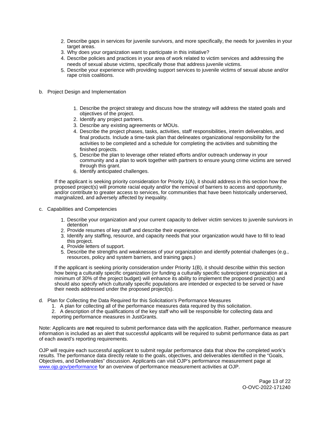- 2. Describe gaps in services for juvenile survivors, and more specifically, the needs for juveniles in your target areas.
- 3. Why does your organization want to participate in this initiative?
- 4. Describe policies and practices in your area of work related to victim services and addressing the needs of sexual abuse victims, specifically those that address juvenile victims.
- 5. Describe your experience with providing support services to juvenile victims of sexual abuse and/or rape crisis coalitions.
- b. Project Design and Implementation
	- 1. Describe the project strategy and discuss how the strategy will address the stated goals and objectives of the project.
	- 2. Identify any project partners.
	- 3. Describe any existing agreements or MOUs.
	- 4. Describe the project phases, tasks, activities, staff responsibilities, interim deliverables, and final products. Include a time-task plan that delineates organizational responsibility for the activities to be completed and a schedule for completing the activities and submitting the finished projects.
	- 5. Describe the plan to leverage other related efforts and/or outreach underway in your community and a plan to work together with partners to ensure young crime victims are served through this grant.
	- 6. Identify anticipated challenges.

If the applicant is seeking priority consideration for Priority 1(A), it should address in this section how the proposed project(s) will promote racial equity and/or the removal of barriers to access and opportunity, and/or contribute to greater access to services, for communities that have been historically underserved, marginalized, and adversely affected by inequality.

- c. Capabilities and Competencies
	- 1. Describe your organization and your current capacity to deliver victim services to juvenile survivors in detention
	- 2. Provide resumes of key staff and describe their experience.
	- 3. Identify any staffing, resource, and capacity needs that your organization would have to fill to lead this project.
	- 4. Provide letters of support.
	- 5. Describe the strengths and weaknesses of your organization and identify potential challenges (e.g., resources, policy and system barriers, and training gaps.)

If the applicant is seeking priority consideration under Priority 1(B), it should describe within this section how being a culturally specific organization (or funding a culturally specific subrecipient organization at a minimum of 30% of the project budget) will enhance its ability to implement the proposed project(s) and should also specify which culturally specific populations are intended or expected to be served or have their needs addressed under the proposed project(s).

- d. Plan for Collecting the Data Required for this Solicitation's Performance Measures
	- 1. A plan for collecting all of the performance measures data required by this solicitation.

2. A description of the qualifications of the key staff who will be responsible for collecting data and reporting performance measures in JustGrants.

Note: Applicants are **not** required to submit performance data with the application. Rather, performance measure information is included as an alert that successful applicants will be required to submit performance data as part of each award's reporting requirements.

OJP will require each successful applicant to submit regular performance data that show the completed work's results. The performance data directly relate to the goals, objectives, and deliverables identified in the "Goals, Objectives, and Deliverables" discussion. Applicants can visit OJP's performance measurement page at [www.ojp.gov/performance](https://www.ojp.gov/performance) for an overview of performance measurement activities at OJP.

> Page 13 of 22 O-OVC-2022-171240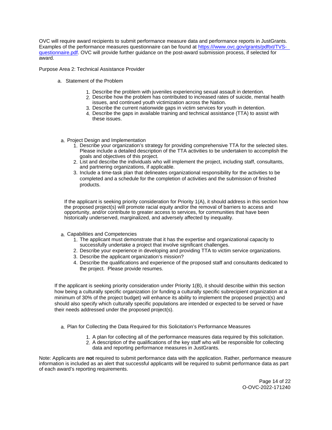OVC will require award recipients to submit performance measure data and performance reports in JustGrants. Examples of the performance measures questionnaire can be found at [https:///www.ovc.gov/grants/pdftxt/TVS](https://www.ovc.gov/grants/pdftxt/TVS-questionnaire.pdf)[questionnaire.pdf.](https://www.ovc.gov/grants/pdftxt/TVS-questionnaire.pdf) OVC will provide further guidance on the post-award submission process, if selected for award.

Purpose Area 2: Technical Assistance Provider

- a. Statement of the Problem
	- 1. Describe the problem with juveniles experiencing sexual assault in detention.
	- 2. Describe how the problem has contributed to increased rates of suicide, mental health issues, and continued youth victimization across the Nation.
	- 3. Describe the current nationwide gaps in victim services for youth in detention.
	- 4. Describe the gaps in available training and technical assistance (TTA) to assist with these issues.
- a. Project Design and Implementation
	- 1. Describe your organization's strategy for providing comprehensive TTA for the selected sites. Please include a detailed description of the TTA activities to be undertaken to accomplish the goals and objectives of this project.
	- 2. List and describe the individuals who will implement the project, including staff, consultants, and partnering organizations, if applicable.
	- 3. Include a time-task plan that delineates organizational responsibility for the activities to be completed and a schedule for the completion of activities and the submission of finished products.

If the applicant is seeking priority consideration for Priority 1(A), it should address in this section how the proposed project(s) will promote racial equity and/or the removal of barriers to access and opportunity, and/or contribute to greater access to services, for communities that have been historically underserved, marginalized, and adversely affected by inequality.

- a. Capabilities and Competencies
	- 1. The applicant must demonstrate that it has the expertise and organizational capacity to successfully undertake a project that involve significant challenges.
	- 2. Describe your experience in developing and providing TTA to victim service organizations.
	- 3. Describe the applicant organization's mission?
	- 4. Describe the qualifications and experience of the proposed staff and consultants dedicated to the project. Please provide resumes.

If the applicant is seeking priority consideration under Priority 1(B), it should describe within this section how being a culturally specific organization (or funding a culturally specific subrecipient organization at a minimum of 30% of the project budget) will enhance its ability to implement the proposed project(s) and should also specify which culturally specific populations are intended or expected to be served or have their needs addressed under the proposed project(s).

a. Plan for Collecting the Data Required for this Solicitation's Performance Measures

- 1. A plan for collecting all of the performance measures data required by this solicitation.
- 2. A description of the qualifications of the key staff who will be responsible for collecting data and reporting performance measures in JustGrants.

Note: Applicants are **not** required to submit performance data with the application. Rather, performance measure information is included as an alert that successful applicants will be required to submit performance data as part of each award's reporting requirements.

> Page 14 of 22 O-OVC-2022-171240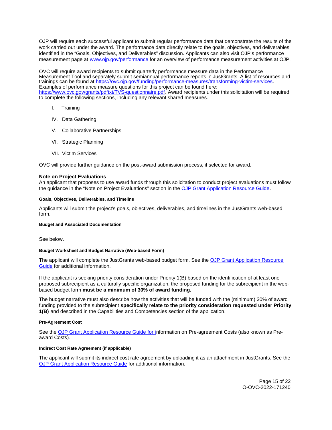<span id="page-15-0"></span>OJP will require each successful applicant to submit regular performance data that demonstrate the results of the work carried out under the award. The performance data directly relate to the goals, objectives, and deliverables identified in the "Goals, Objectives, and Deliverables" discussion. Applicants can also visit OJP's performance measurement page at [www.ojp.gov/performance](http://www.ojp.gov/performance) for an overview of performance measurement activities at OJP.

OVC will require award recipients to submit quarterly performance measure data in the Performance Measurement Tool and separately submit semiannual performance reports in JustGrants. A list of resources and trainings can be found at [https://ovc.ojp.gov/funding/performance-measures/transforming-victim-services.](https://ovc.ojp.gov/funding/performance-measures/transforming-victim-services) Examples of performance measure questions for this project can be found here: [https://www.ovc.gov/grants/pdftxt/TVS-questionnaire.pdf.](https://www.ovc.gov/grants/pdftxt/TVS-questionnaire.pdf) Award recipients under this solicitation will be required to complete the following sections, including any relevant shared measures.

- I. Training
- IV. Data Gathering
- V. Collaborative Partnerships
- VI. Strategic Planning
- VII. Victim Services

OVC will provide further guidance on the post-award submission process, if selected for award.

#### **Note on Project Evaluations**

An applicant that proposes to use award funds through this solicitation to conduct project evaluations must follow the guidance in the "Note on Project Evaluations" section in the [OJP Grant Application Resource Guide.](https://www.ojp.gov/funding/apply/ojp-grant-application-resource-guide#project-evaluations)

#### **Goals, Objectives, Deliverables, and Timeline**

Applicants will submit the project's goals, objectives, deliverables, and timelines in the JustGrants web-based form.

### **Budget and Associated Documentation**

See below.

### **Budget Worksheet and Budget Narrative (Web-based Form)**

The applicant will complete the JustGrants web-based budget form. See the OJP Grant Application Resource [Guide](https://www.ojp.gov/funding/apply/ojp-grant-application-resource-guide#budget-prep) for additional information.

If the applicant is seeking priority consideration under Priority 1(B) based on the identification of at least one proposed subrecipient as a culturally specific organization, the proposed funding for the subrecipient in the webbased budget form **must be a minimum of 30% of award funding.** 

The budget narrative must also describe how the activities that will be funded with the (minimum) 30% of award funding provided to the subrecipient **specifically relate to the priority consideration requested under Priority 1(B)** and described in the Capabilities and Competencies section of the application.

#### **Pre-Agreement Cost**

See the [OJP Grant Application Resource Guide](https://www.ojp.gov/funding/apply/ojp-grant-application-resource-guide#pre-agreement-costs) for information on Pre-agreement Costs (also known as Preaward Costs).

#### **Indirect Cost Rate Agreement (if applicable)**

The applicant will submit its indirect cost rate agreement by uploading it as an attachment in JustGrants. See the [OJP Grant Application Resource Guide](https://www.ojp.gov/funding/apply/ojp-grant-application-resource-guide#indirect-cost) for additional information.

> Page 15 of 22 O-OVC-2022-171240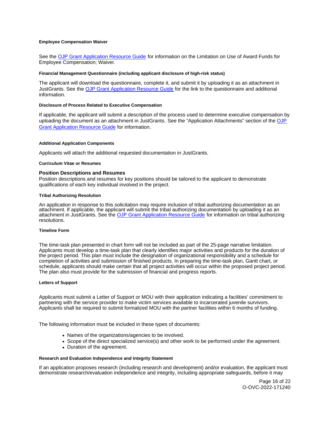#### <span id="page-16-0"></span>**Employee Compensation Waiver**

See the [OJP Grant Application Resource Guide](https://www.ojp.gov/funding/apply/ojp-grant-application-resource-guide#limitation-use-award) for information on the Limitation on Use of Award Funds for Employee Compensation; Waiver.

#### **Financial Management Questionnaire (including applicant disclosure of high-risk status)**

The applicant will download the questionnaire, complete it, and submit it by uploading it as an attachment in JustGrants. See the [OJP Grant Application Resource Guide](https://www.ojp.gov/funding/apply/ojp-grant-application-resource-guide#fm-internal-controls-questionnaire) for the link to the questionnaire and additional information.

#### **Disclosure of Process Related to Executive Compensation**

If applicable, the applicant will submit a description of the process used to determine executive compensation by uploading the document as an attachment in JustGrants. See the "Application Attachments" section of the OJP [Grant Application Resource Guide](https://www.ojp.gov/funding/apply/ojp-grant-application-resource-guide#disclosure-process-executive) for information.

#### **Additional Application Components**

Applicants will attach the additional requested documentation in JustGrants.

#### **Curriculum Vitae or Resumes**

### **Position Descriptions and Resumes**

Position descriptions and resumes for key positions should be tailored to the applicant to demonstrate qualifications of each key individual involved in the project.

#### **Tribal Authorizing Resolution**

An application in response to this solicitation may require inclusion of tribal authorizing documentation as an attachment. If applicable, the applicant will submit the tribal authorizing documentation by uploading it as an attachment in JustGrants. See the [OJP Grant Application Resource Guide](https://www.ojp.gov/funding/apply/ojp-grant-application-resource-guide#tribal-authorizing-resolution) for information on tribal authorizing resolutions.

#### **Timeline Form**

The time-task plan presented in chart form will not be included as part of the 25-page narrative limitation. Applicants must develop a time-task plan that clearly identifies major activities and products for the duration of the project period. This plan must include the designation of organizational responsibility and a schedule for completion of activities and submission of finished products. In preparing the time-task plan, Gantt chart, or schedule, applicants should make certain that all project activities will occur within the proposed project period. The plan also must provide for the submission of financial and progress reports.

#### **Letters of Support**

Applicants must submit a Letter of Support or MOU with their application indicating a facilities' commitment to partnering with the service provider to make victim services available to incarcerated juvenile survivors. Applicants shall be required to submit formalized MOU with the partner facilities within 6 months of funding.

The following information must be included in these types of documents:

- Names of the organizations/agencies to be involved.
- Scope of the direct specialized service(s) and other work to be performed under the agreement.
- Duration of the agreement.

### **Research and Evaluation Independence and Integrity Statement**

If an application proposes research (including research and development) and/or evaluation, the applicant must demonstrate research/evaluation independence and integrity, including appropriate safeguards, before it may

> Page 16 of 22 O-OVC-2022-171240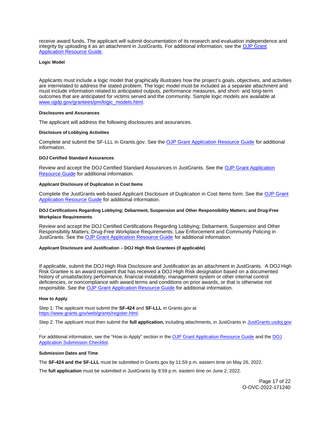<span id="page-17-0"></span>receive award funds. The applicant will submit documentation of its research and evaluation independence and integrity by uploading it as an attachment in JustGrants. For additional information, see the [OJP Grant](https://www.ojp.gov/funding/apply/ojp-grant-application-resource-guide#research-evaluation)  [Application Resource Guide.](https://www.ojp.gov/funding/apply/ojp-grant-application-resource-guide#research-evaluation)

#### **Logic Model**

Applicants must include a logic model that graphically illustrates how the project's goals, objectives, and activities are interrelated to address the stated problem. The logic model must be included as a separate attachment and must include information related to anticipated outputs, performance measures, and short- and long-term outcomes that are anticipated for victims served and the community. Sample logic models are available at [www.ojjdp.gov/grantees/pm/logic\\_models.html.](http://www.ojjdp.gov/grantees/pm/logic_models.html)

#### **Disclosures and Assurances**

The applicant will address the following disclosures and assurances.

### **Disclosure of Lobbying Activities**

Complete and submit the SF-LLL in [Grants.gov.](https://Grants.gov) See the [OJP Grant Application Resource Guide](https://www.ojp.gov/funding/apply/ojp-grant-application-resource-guide#disclosure-lobby) for additional information.

#### **DOJ Certified Standard Assurances**

Review and accept the DOJ Certified Standard Assurances in JustGrants. See the [OJP Grant Application](https://www.ojp.gov/funding/apply/ojp-grant-application-resource-guide#administrative)  [Resource Guide](https://www.ojp.gov/funding/apply/ojp-grant-application-resource-guide#administrative) for additional information.

### **Applicant Disclosure of Duplication in Cost Items**

Complete the JustGrants web-based Applicant Disclosure of Duplication in Cost Items form. See the OJP Grant [Application Resource Guide](https://www.ojp.gov/funding/apply/ojp-grant-application-resource-guide#applicant-disclosure-pending-applications) for additional information.

# **DOJ Certifications Regarding Lobbying; Debarment, Suspension and Other Responsibility Matters; and Drug-Free Workplace Requirements**

Review and accept the DOJ Certified Certifications Regarding Lobbying; Debarment, Suspension and Other Responsibility Matters; Drug-Free Workplace Requirements; Law Enforcement and Community Policing in JustGrants. See the [OJP Grant Application Resource Guide](https://www.ojp.gov/funding/apply/ojp-grant-application-resource-guide#administrative) for additional information.

#### **Applicant Disclosure and Justification – DOJ High Risk Grantees (if applicable)**

If applicable, submit the DOJ High Risk Disclosure and Justification as an attachment in JustGrants. A DOJ High Risk Grantee is an award recipient that has received a DOJ High Risk designation based on a documented history of unsatisfactory performance, financial instability, management system or other internal control deficiencies, or noncompliance with award terms and conditions on prior awards, or that is otherwise not responsible. See the [OJP Grant Application Resource Guide](https://www.ojp.gov/funding/apply/ojp-grant-application-resource-guide) for additional information.

#### **How to Apply**

.

Step 1: The applicant must submit the **SF-424** and **SF-LLL** in [Grants.gov](https://Grants.gov) at [https://www.grants.gov/web/grants/register.html.](https://www.grants.gov/web/grants/register.html)

Step 2: The applicant must then submit the **full application,** including attachments, in JustGrants in [JustGrants.usdoj.gov](https://justicegrants.usdoj.gov/) 

For additional information, see the "How to Apply" section in the [OJP Grant Application Resource Guide](https://www.ojp.gov/funding/apply/ojp-grant-application-resource-guide#apply) and the [DOJ](https://justicegrants.usdoj.gov/sites/g/files/xyckuh296/files/media/document/appln-submission-checklist.pdf)  [Application Submission Checklist.](https://justicegrants.usdoj.gov/sites/g/files/xyckuh296/files/media/document/appln-submission-checklist.pdf)

#### **Submission Dates and Time**

The **SF-424 and the SF-LLL** must be submitted in [Grants.gov](https://Grants.gov) by 11:59 p.m. eastern time on May 26, 2022.

The **full application** must be submitted in JustGrants by 8:59 p.m. eastern time on June 2, 2022.

Page 17 of 22 O-OVC-2022-171240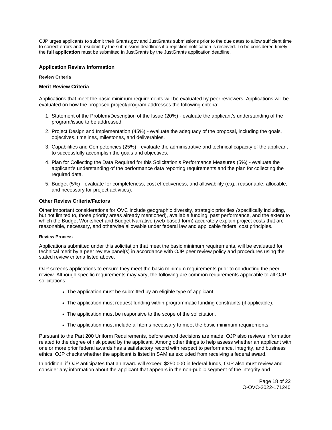<span id="page-18-0"></span>OJP urges applicants to submit their [Grants.gov](https://Grants.gov) and JustGrants submissions prior to the due dates to allow sufficient time to correct errors and resubmit by the submission deadlines if a rejection notification is received. To be considered timely, the **full application** must be submitted in JustGrants by the JustGrants application deadline.

# **Application Review Information**

# **Review Criteria**

# **Merit Review Criteria**

Applications that meet the basic minimum requirements will be evaluated by peer reviewers. Applications will be evaluated on how the proposed project/program addresses the following criteria:

- 1. Statement of the Problem/Description of the Issue (20%) evaluate the applicant's understanding of the program/issue to be addressed.
- 2. Project Design and Implementation (45%) evaluate the adequacy of the proposal, including the goals, objectives, timelines, milestones, and deliverables.
- 3. Capabilities and Competencies (25%) evaluate the administrative and technical capacity of the applicant to successfully accomplish the goals and objectives.
- 4. Plan for Collecting the Data Required for this Solicitation's Performance Measures (5%) evaluate the applicant's understanding of the performance data reporting requirements and the plan for collecting the required data.
- 5. Budget (5%) evaluate for completeness, cost effectiveness, and allowability (e.g., reasonable, allocable, and necessary for project activities).

# **Other Review Criteria/Factors**

Other important considerations for OVC include geographic diversity, strategic priorities (specifically including, but not limited to, those priority areas already mentioned), available funding, past performance, and the extent to which the Budget Worksheet and Budget Narrative (web-based form) accurately explain project costs that are reasonable, necessary, and otherwise allowable under federal law and applicable federal cost principles.

#### **Review Process**

Applications submitted under this solicitation that meet the basic minimum requirements, will be evaluated for technical merit by a peer review panel(s) in accordance with OJP peer review policy and procedures using the stated review criteria listed above.

OJP screens applications to ensure they meet the basic minimum requirements prior to conducting the peer review. Although specific requirements may vary, the following are common requirements applicable to all OJP solicitations:

- The application must be submitted by an eligible type of applicant.
- The application must request funding within programmatic funding constraints (if applicable).
- The application must be responsive to the scope of the solicitation.
- The application must include all items necessary to meet the basic minimum requirements.

Pursuant to the Part 200 Uniform Requirements, before award decisions are made, OJP also reviews information related to the degree of risk posed by the applicant. Among other things to help assess whether an applicant with one or more prior federal awards has a satisfactory record with respect to performance, integrity, and business ethics, OJP checks whether the applicant is listed in SAM as excluded from receiving a federal award.

In addition, if OJP anticipates that an award will exceed \$250,000 in federal funds, OJP also must review and consider any information about the applicant that appears in the non-public segment of the integrity and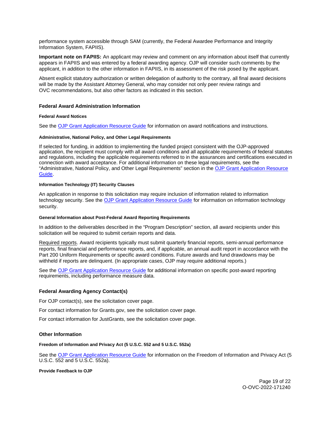<span id="page-19-0"></span>performance system accessible through SAM (currently, the Federal Awardee Performance and Integrity Information System, FAPIIS).

**Important note on FAPIIS:** An applicant may review and comment on any information about itself that currently appears in FAPIIS and was entered by a federal awarding agency. OJP will consider such comments by the applicant, in addition to the other information in FAPIIS, in its assessment of the risk posed by the applicant.

Absent explicit statutory authorization or written delegation of authority to the contrary, all final award decisions will be made by the Assistant Attorney General, who may consider not only peer review ratings and OVC recommendations, but also other factors as indicated in this section.

### **Federal Award Administration Information**

### **Federal Award Notices**

See the [OJP Grant Application Resource Guide](https://www.ojp.gov/funding/apply/ojp-grant-application-resource-guide#federal-award-notices) for information on award notifications and instructions.

#### **Administrative, National Policy, and Other Legal Requirements**

If selected for funding, in addition to implementing the funded project consistent with the OJP-approved application, the recipient must comply with all award conditions and all applicable requirements of federal statutes and regulations, including the applicable requirements referred to in the assurances and certifications executed in connection with award acceptance. For additional information on these legal requirements, see the "Administrative, National Policy, and Other Legal Requirements" section in the [OJP Grant Application Resource](https://www.ojp.gov/funding/apply/ojp-grant-application-resource-guide#administrative)  [Guide.](https://www.ojp.gov/funding/apply/ojp-grant-application-resource-guide#administrative)

#### **Information Technology (IT) Security Clauses**

An application in response to this solicitation may require inclusion of information related to information technology security. See the [OJP Grant Application Resource Guide](https://www.ojp.gov/funding/apply/ojp-grant-application-resource-guide#information-technology) for information on information technology security.

#### **General Information about Post-Federal Award Reporting Requirements**

In addition to the deliverables described in the "Program Description" section, all award recipients under this solicitation will be required to submit certain reports and data.

Required reports. Award recipients typically must submit quarterly financial reports, semi-annual performance reports, final financial and performance reports, and, if applicable, an annual audit report in accordance with the Part 200 Uniform Requirements or specific award conditions. Future awards and fund drawdowns may be withheld if reports are delinquent. (In appropriate cases, OJP may require additional reports.)

See the [OJP Grant Application Resource Guide](https://www.ojp.gov/funding/apply/ojp-grant-application-resource-guide#general-information) for additional information on specific post-award reporting requirements, including performance measure data.

#### **Federal Awarding Agency Contact(s)**

For OJP contact(s), see the solicitation cover page.

For contact information for [Grants.gov](https://Grants.gov), see the solicitation cover page.

For contact information for JustGrants, see the solicitation cover page.

# **Other Information**

### **Freedom of Information and Privacy Act (5 U.S.C. 552 and 5 U.S.C. 552a)**

See the [OJP Grant Application Resource Guide](https://www.ojp.gov/funding/apply/ojp-grant-application-resource-guide#foia) for information on the Freedom of Information and Privacy Act (5 U.S.C. 552 and 5 U.S.C. 552a).

### **Provide Feedback to OJP**

Page 19 of 22 O-OVC-2022-171240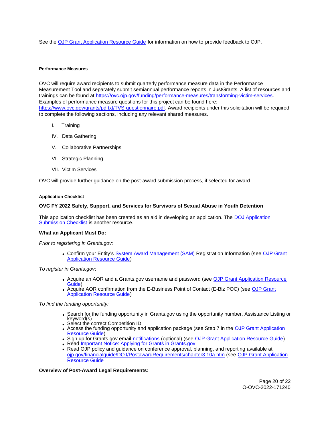<span id="page-20-0"></span>See the [OJP Grant Application Resource Guide](https://www.ojp.gov/funding/apply/ojp-grant-application-resource-guide#feedback) for information on how to provide feedback to OJP.

# **Performance Measures**

OVC will require award recipients to submit quarterly performance measure data in the Performance Measurement Tool and separately submit semiannual performance reports in JustGrants. A list of resources and trainings can be found at [https://ovc.ojp.gov/funding/performance-measures/transforming-victim-services.](https://ovc.ojp.gov/funding/performance-measures/transforming-victim-services) Examples of performance measure questions for this project can be found here: [https://www.ovc.gov/grants/pdftxt/TVS-questionnaire.pdf.](https://www.ovc.gov/grants/pdftxt/TVS-questionnaire.pdf) Award recipients under this solicitation will be required to complete the following sections, including any relevant shared measures.

- I. Training
- IV. Data Gathering
- V. Collaborative Partnerships
- VI. Strategic Planning
- VII. Victim Services

OVC will provide further guidance on the post-award submission process, if selected for award.

# **Application Checklist**

# **OVC FY 2022 Safety, Support, and Services for Survivors of Sexual Abuse in Youth Detention**

This application checklist has been created as an aid in developing an application. The DOJ Application [Submission Checklist](https://justicegrants.usdoj.gov/sites/g/files/xyckuh296/files/media/document/appln-submission-checklist.pdf) is another resource.

# **What an Applicant Must Do:**

Prior to registering in [Grants.gov](https://Grants.gov):

Confirm your Entity's [System Award Management \(SAM\)](https://sam.gov/SAM/) Registration Information (see [OJP Grant](https://www.ojp.gov/funding/apply/ojp-grant-application-resource-guide#apply)  [Application Resource Guide\)](https://www.ojp.gov/funding/apply/ojp-grant-application-resource-guide#apply)

To register in [Grants.gov](https://Grants.gov):

- Acquire an AOR and a [Grants.gov](https://Grants.gov) username and password (see OJP Grant Application Resource [Guide\)](https://www.ojp.gov/funding/apply/ojp-grant-application-resource-guide#apply)
- Acquire AOR confirmation from the E-Business Point of Contact (E-Biz POC) (see OJP Grant [Application Resource Guide\)](https://www.ojp.gov/funding/apply/ojp-grant-application-resource-guide#apply)

To find the funding opportunity:

- Search for the funding opportunity in [Grants.gov](https://Grants.gov) using the opportunity number, Assistance Listing or keyword(s)<br>• Select the correct Competition ID
- 
- Access the funding opportunity and application package (see Step 7 in the OJP Grant Application [Resource Guide\)](https://www.ojp.gov/funding/apply/ojp-grant-application-resource-guide#apply)
- Sign up for [Grants.gov](https://Grants.gov) email [notifications](https://www.grants.gov/web/grants/manage-subscriptions.html) (optional) (see [OJP Grant Application Resource Guide\)](https://www.ojp.gov/funding/apply/ojp-grant-application-resource-guide#apply)
- Read Important Notice: Applying for Grants in Grants.gov
- Read OJP policy and guidance on conference approval, planning, and reporting available at [ojp.gov/financialguide/DOJ/PostawardRequirements/chapter3.10a.htm](https://ojp.gov/financialguide/DOJ/PostawardRequirements/chapter3.10a.htm) (see [OJP Grant Application](https://www.ojp.gov/funding/apply/ojp-grant-application-resource-guide#prior-approval)  [Resource Guide](https://www.ojp.gov/funding/apply/ojp-grant-application-resource-guide#prior-approval)

**Overview of Post-Award Legal Requirements:**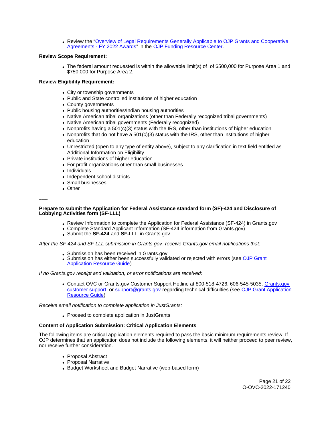Review the "[Overview of Legal Requirements Generally Applicable to OJP Grants and Cooperative](https://www.ojp.gov/funding/explore/legal-overview-awards)  [Agreements - FY 2022 Awards"](https://www.ojp.gov/funding/explore/legal-overview-awards) in the [OJP Funding Resource Center.](https://www.ojp.gov/funding/explore/legal-overview-awards)

# **Review Scope Requirement:**

• The federal amount requested is within the allowable limit(s) of of \$500,000 for Purpose Area 1 and \$750,000 for Purpose Area 2.

# **Review Eligibility Requirement:**

- City or township governments
- Public and State controlled institutions of higher education
- County governments
- Public housing authorities/Indian housing authorities
- Native American tribal organizations (other than Federally recognized tribal governments)
- Native American tribal governments (Federally recognized)
- Nonprofits having a 501(c)(3) status with the IRS, other than institutions of higher education
- Nonprofits that do not have a  $501(c)(3)$  status with the IRS, other than institutions of higher education
- Unrestricted (open to any type of entity above), subject to any clarification in text field entitled as Additional Information on Eligibility
- Private institutions of higher education
- For profit organizations other than small businesses
- Individuals
- Independent school districts
- Small businesses
- Other

~~~

#### **Prepare to submit the Application for Federal Assistance standard form (SF)-424 and Disclosure of Lobbying Activities form (SF-LLL)**

- Review Information to complete the Application for Federal Assistance (SF-424) in [Grants.gov](https://Grants.gov)
- Complete Standard Applicant Information (SF-424 information from [Grants.gov\)](https://Grants.gov)
- Submit the **SF-424** and **SF-LLL** in [Grants.gov](https://Grants.gov)

After the SF-424 and SF-LLL submission in [Grants.gov](https://Grants.gov), receive [Grants.gov](https://Grants.gov) email notifications that:

- Submission has been received in [Grants.gov](https://Grants.gov)
- Submission has either been successfully validated or rejected with errors (see OJP Grant [Application Resource Guide\)](https://www.ojp.gov/funding/apply/ojp-grant-application-resource-guide#apply)

If no [Grants.gov](https://Grants.gov) receipt and validation, or error notifications are received:

Contact OVC or [Grants.gov](https://Grants.gov) Customer Support Hotline at 800-518-4726, 606-545-5035, [Grants.gov](https://www.grants.gov/web/grants/support.html)  [customer support,](https://www.grants.gov/web/grants/support.html) or [support@grants.gov](mailto:support@grants.gov) regarding technical difficulties (see [OJP Grant Application](https://www.ojp.gov/funding/apply/ojp-grant-application-resource-guide#apply)  [Resource Guide\)](https://www.ojp.gov/funding/apply/ojp-grant-application-resource-guide#apply)

Receive email notification to complete application in JustGrants:

• Proceed to complete application in JustGrants

# **Content of Application Submission: Critical Application Elements**

The following items are critical application elements required to pass the basic minimum requirements review. If OJP determines that an application does not include the following elements, it will neither proceed to peer review, nor receive further consideration.

- Proposal Abstract
- Proposal Narrative
- Budget Worksheet and Budget Narrative (web-based form)